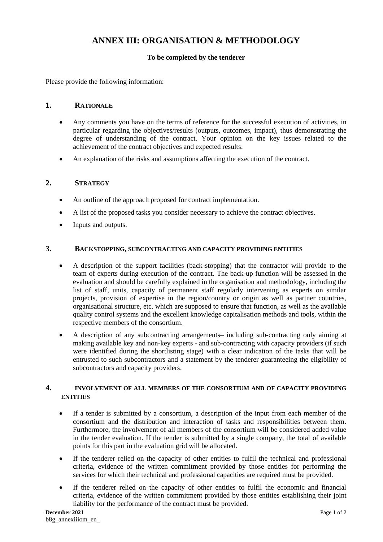# **ANNEX III: ORGANISATION & METHODOLOGY**

## **To be completed by the tenderer**

Please provide the following information:

#### **1. RATIONALE**

- Any comments you have on the terms of reference for the successful execution of activities, in particular regarding the objectives/results (outputs, outcomes, impact), thus demonstrating the degree of understanding of the contract. Your opinion on the key issues related to the achievement of the contract objectives and expected results.
- An explanation of the risks and assumptions affecting the execution of the contract.

## **2. STRATEGY**

- An outline of the approach proposed for contract implementation.
- A list of the proposed tasks you consider necessary to achieve the contract objectives.
- Inputs and outputs.

#### **3. BACKSTOPPING, SUBCONTRACTING AND CAPACITY PROVIDING ENTITIES**

- A description of the support facilities (back-stopping) that the contractor will provide to the team of experts during execution of the contract. The back-up function will be assessed in the evaluation and should be carefully explained in the organisation and methodology, including the list of staff, units, capacity of permanent staff regularly intervening as experts on similar projects, provision of expertise in the region/country or origin as well as partner countries, organisational structure, etc. which are supposed to ensure that function, as well as the available quality control systems and the excellent knowledge capitalisation methods and tools, within the respective members of the consortium.
- A description of any subcontracting arrangements– including sub-contracting only aiming at making available key and non-key experts - and sub-contracting with capacity providers (if such were identified during the shortlisting stage) with a clear indication of the tasks that will be entrusted to such subcontractors and a statement by the tenderer guaranteeing the eligibility of subcontractors and capacity providers.

#### **4. INVOLVEMENT OF ALL MEMBERS OF THE CONSORTIUM AND OF CAPACITY PROVIDING ENTITIES**

- If a tender is submitted by a consortium, a description of the input from each member of the consortium and the distribution and interaction of tasks and responsibilities between them. Furthermore, the involvement of all members of the consortium will be considered added value in the tender evaluation. If the tender is submitted by a single company, the total of available points for this part in the evaluation grid will be allocated.
- If the tenderer relied on the capacity of other entities to fulfil the technical and professional criteria, evidence of the written commitment provided by those entities for performing the services for which their technical and professional capacities are required must be provided.
- If the tenderer relied on the capacity of other entities to fulfil the economic and financial criteria, evidence of the written commitment provided by those entities establishing their joint liability for the performance of the contract must be provided.